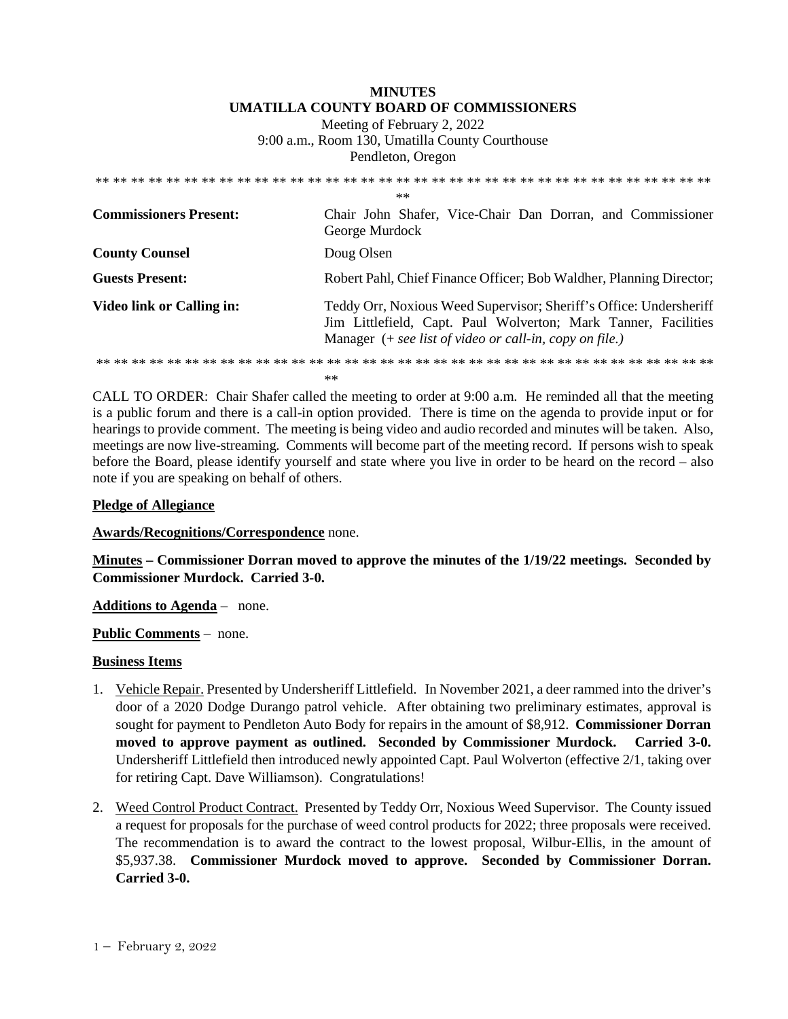## **MINUTES UMATILLA COUNTY BOARD OF COMMISSIONERS**

Meeting of February 2, 2022 9:00 a.m., Room 130, Umatilla County Courthouse Pendleton, Oregon

|                                  | $**$                                                                                                                                                                                              |
|----------------------------------|---------------------------------------------------------------------------------------------------------------------------------------------------------------------------------------------------|
| <b>Commissioners Present:</b>    | Chair John Shafer, Vice-Chair Dan Dorran, and Commissioner<br>George Murdock                                                                                                                      |
| <b>County Counsel</b>            | Doug Olsen                                                                                                                                                                                        |
| <b>Guests Present:</b>           | Robert Pahl, Chief Finance Officer; Bob Waldher, Planning Director;                                                                                                                               |
| <b>Video link or Calling in:</b> | Teddy Orr, Noxious Weed Supervisor; Sheriff's Office: Undersheriff<br>Jim Littlefield, Capt. Paul Wolverton; Mark Tanner, Facilities<br>Manager $(+$ see list of video or call-in, copy on file.) |
|                                  | $**$                                                                                                                                                                                              |

CALL TO ORDER: Chair Shafer called the meeting to order at 9:00 a.m. He reminded all that the meeting is a public forum and there is a call-in option provided. There is time on the agenda to provide input or for hearings to provide comment. The meeting is being video and audio recorded and minutes will be taken. Also, meetings are now live-streaming*.* Comments will become part of the meeting record. If persons wish to speak before the Board, please identify yourself and state where you live in order to be heard on the record – also note if you are speaking on behalf of others.

## **Pledge of Allegiance**

**Awards/Recognitions/Correspondence** none.

**Minutes – Commissioner Dorran moved to approve the minutes of the 1/19/22 meetings. Seconded by Commissioner Murdock. Carried 3-0.** 

**Additions to Agenda** – none.

**Public Comments** – none.

## **Business Items**

- 1. Vehicle Repair. Presented by Undersheriff Littlefield. In November 2021, a deer rammed into the driver's door of a 2020 Dodge Durango patrol vehicle. After obtaining two preliminary estimates, approval is sought for payment to Pendleton Auto Body for repairs in the amount of \$8,912. **Commissioner Dorran moved to approve payment as outlined. Seconded by Commissioner Murdock. Carried 3-0.**  Undersheriff Littlefield then introduced newly appointed Capt. Paul Wolverton (effective 2/1, taking over for retiring Capt. Dave Williamson). Congratulations!
- 2. Weed Control Product Contract. Presented by Teddy Orr, Noxious Weed Supervisor. The County issued a request for proposals for the purchase of weed control products for 2022; three proposals were received. The recommendation is to award the contract to the lowest proposal, Wilbur-Ellis, in the amount of \$5,937.38. **Commissioner Murdock moved to approve. Seconded by Commissioner Dorran. Carried 3-0.**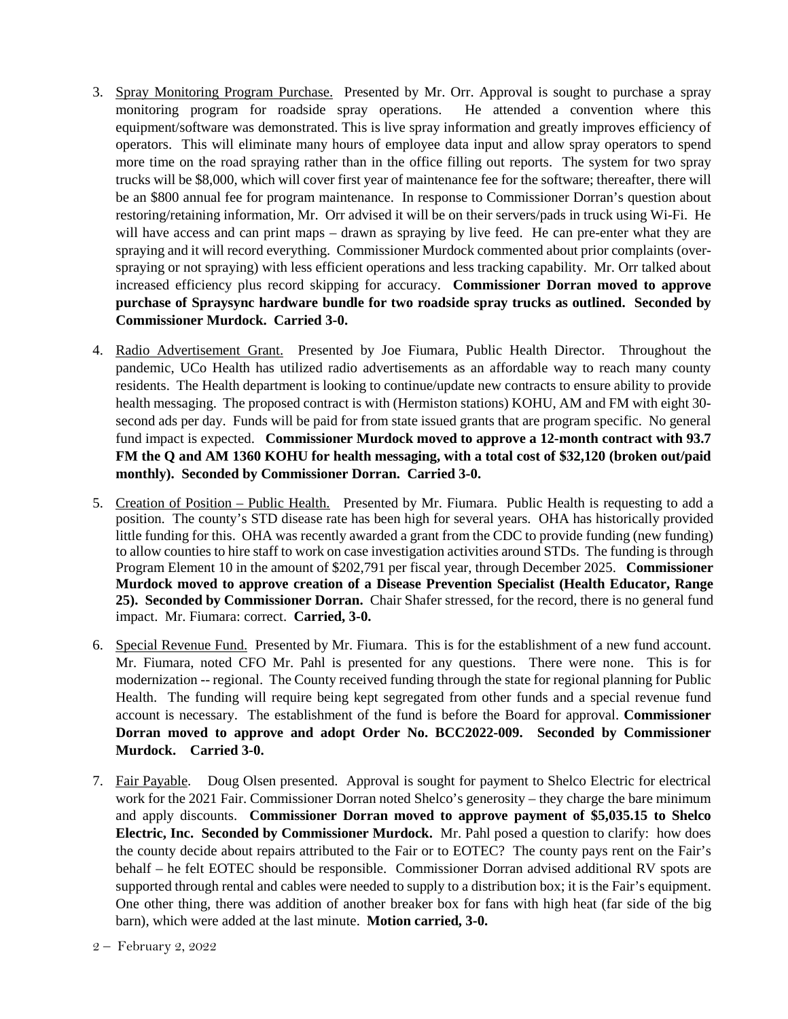- 3. Spray Monitoring Program Purchase. Presented by Mr. Orr. Approval is sought to purchase a spray monitoring program for roadside spray operations. He attended a convention where this equipment/software was demonstrated. This is live spray information and greatly improves efficiency of operators. This will eliminate many hours of employee data input and allow spray operators to spend more time on the road spraying rather than in the office filling out reports. The system for two spray trucks will be \$8,000, which will cover first year of maintenance fee for the software; thereafter, there will be an \$800 annual fee for program maintenance. In response to Commissioner Dorran's question about restoring/retaining information, Mr. Orr advised it will be on their servers/pads in truck using Wi-Fi. He will have access and can print maps – drawn as spraying by live feed. He can pre-enter what they are spraying and it will record everything. Commissioner Murdock commented about prior complaints (overspraying or not spraying) with less efficient operations and less tracking capability. Mr. Orr talked about increased efficiency plus record skipping for accuracy. **Commissioner Dorran moved to approve purchase of Spraysync hardware bundle for two roadside spray trucks as outlined. Seconded by Commissioner Murdock. Carried 3-0.**
- 4. Radio Advertisement Grant. Presented by Joe Fiumara, Public Health Director. Throughout the pandemic, UCo Health has utilized radio advertisements as an affordable way to reach many county residents. The Health department is looking to continue/update new contracts to ensure ability to provide health messaging. The proposed contract is with (Hermiston stations) KOHU, AM and FM with eight 30 second ads per day. Funds will be paid for from state issued grants that are program specific. No general fund impact is expected. **Commissioner Murdock moved to approve a 12-month contract with 93.7 FM the Q and AM 1360 KOHU for health messaging, with a total cost of \$32,120 (broken out/paid monthly). Seconded by Commissioner Dorran. Carried 3-0.**
- 5. Creation of Position Public Health. Presented by Mr. Fiumara. Public Health is requesting to add a position. The county's STD disease rate has been high for several years. OHA has historically provided little funding for this. OHA was recently awarded a grant from the CDC to provide funding (new funding) to allow counties to hire staff to work on case investigation activities around STDs. The funding is through Program Element 10 in the amount of \$202,791 per fiscal year, through December 2025. **Commissioner Murdock moved to approve creation of a Disease Prevention Specialist (Health Educator, Range 25). Seconded by Commissioner Dorran.** Chair Shafer stressed, for the record, there is no general fund impact. Mr. Fiumara: correct. **Carried, 3-0.**
- 6. Special Revenue Fund. Presented by Mr. Fiumara. This is for the establishment of a new fund account. Mr. Fiumara, noted CFO Mr. Pahl is presented for any questions. There were none. This is for modernization -- regional. The County received funding through the state for regional planning for Public Health. The funding will require being kept segregated from other funds and a special revenue fund account is necessary. The establishment of the fund is before the Board for approval. **Commissioner Dorran moved to approve and adopt Order No. BCC2022-009. Seconded by Commissioner Murdock. Carried 3-0.**
- 7. Fair Payable. Doug Olsen presented. Approval is sought for payment to Shelco Electric for electrical work for the 2021 Fair. Commissioner Dorran noted Shelco's generosity – they charge the bare minimum and apply discounts. **Commissioner Dorran moved to approve payment of \$5,035.15 to Shelco Electric, Inc. Seconded by Commissioner Murdock.** Mr. Pahl posed a question to clarify: how does the county decide about repairs attributed to the Fair or to EOTEC? The county pays rent on the Fair's behalf – he felt EOTEC should be responsible. Commissioner Dorran advised additional RV spots are supported through rental and cables were needed to supply to a distribution box; it is the Fair's equipment. One other thing, there was addition of another breaker box for fans with high heat (far side of the big barn), which were added at the last minute. **Motion carried, 3-0.**